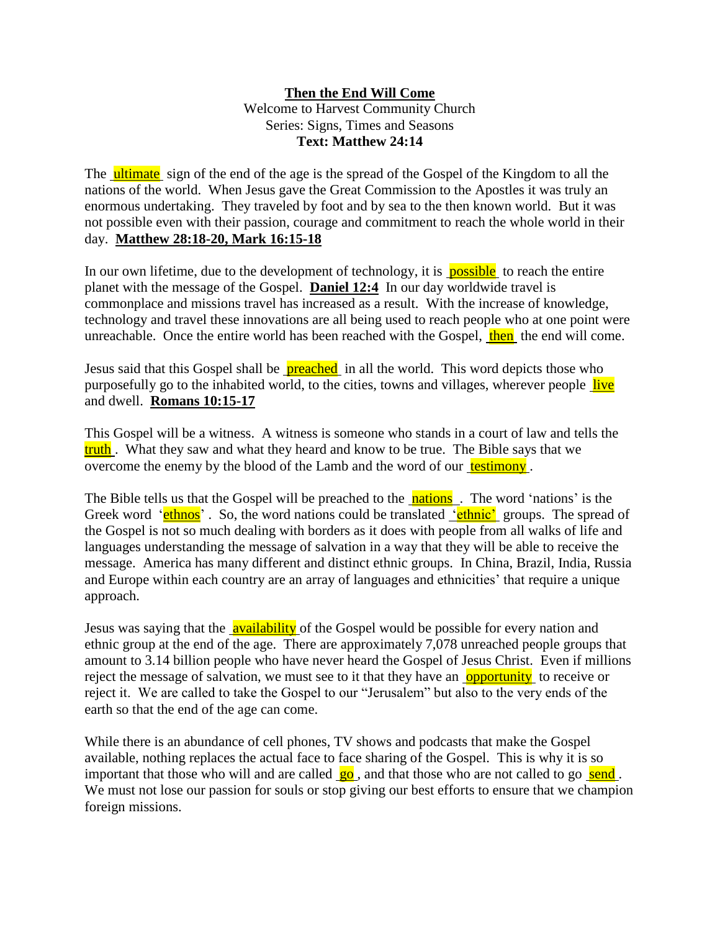## **Then the End Will Come** Welcome to Harvest Community Church Series: Signs, Times and Seasons **Text: Matthew 24:14**

The ultimate sign of the end of the age is the spread of the Gospel of the Kingdom to all the nations of the world. When Jesus gave the Great Commission to the Apostles it was truly an enormous undertaking. They traveled by foot and by sea to the then known world. But it was not possible even with their passion, courage and commitment to reach the whole world in their day. **Matthew 28:18-20, Mark 16:15-18**

In our own lifetime, due to the development of technology, it is **possible** to reach the entire planet with the message of the Gospel. **Daniel 12:4** In our day worldwide travel is commonplace and missions travel has increased as a result. With the increase of knowledge, technology and travel these innovations are all being used to reach people who at one point were unreachable. Once the entire world has been reached with the Gospel, then the end will come.

Jesus said that this Gospel shall be **preached** in all the world. This word depicts those who purposefully go to the inhabited world, to the cities, towns and villages, wherever people live and dwell. **Romans 10:15-17**

This Gospel will be a witness. A witness is someone who stands in a court of law and tells the truth. What they saw and what they heard and know to be true. The Bible says that we overcome the enemy by the blood of the Lamb and the word of our testimony.

The Bible tells us that the Gospel will be preached to the **nations**. The word 'nations' is the Greek word '**ethnos**'. So, the word nations could be translated '**ethnic'** groups. The spread of the Gospel is not so much dealing with borders as it does with people from all walks of life and languages understanding the message of salvation in a way that they will be able to receive the message. America has many different and distinct ethnic groups. In China, Brazil, India, Russia and Europe within each country are an array of languages and ethnicities' that require a unique approach.

Jesus was saying that the **availability** of the Gospel would be possible for every nation and ethnic group at the end of the age. There are approximately 7,078 unreached people groups that amount to 3.14 billion people who have never heard the Gospel of Jesus Christ. Even if millions reject the message of salvation, we must see to it that they have an **opportunity** to receive or reject it. We are called to take the Gospel to our "Jerusalem" but also to the very ends of the earth so that the end of the age can come.

While there is an abundance of cell phones, TV shows and podcasts that make the Gospel available, nothing replaces the actual face to face sharing of the Gospel. This is why it is so important that those who will and are called  $\overline{g_0}$ , and that those who are not called to go send. We must not lose our passion for souls or stop giving our best efforts to ensure that we champion foreign missions.